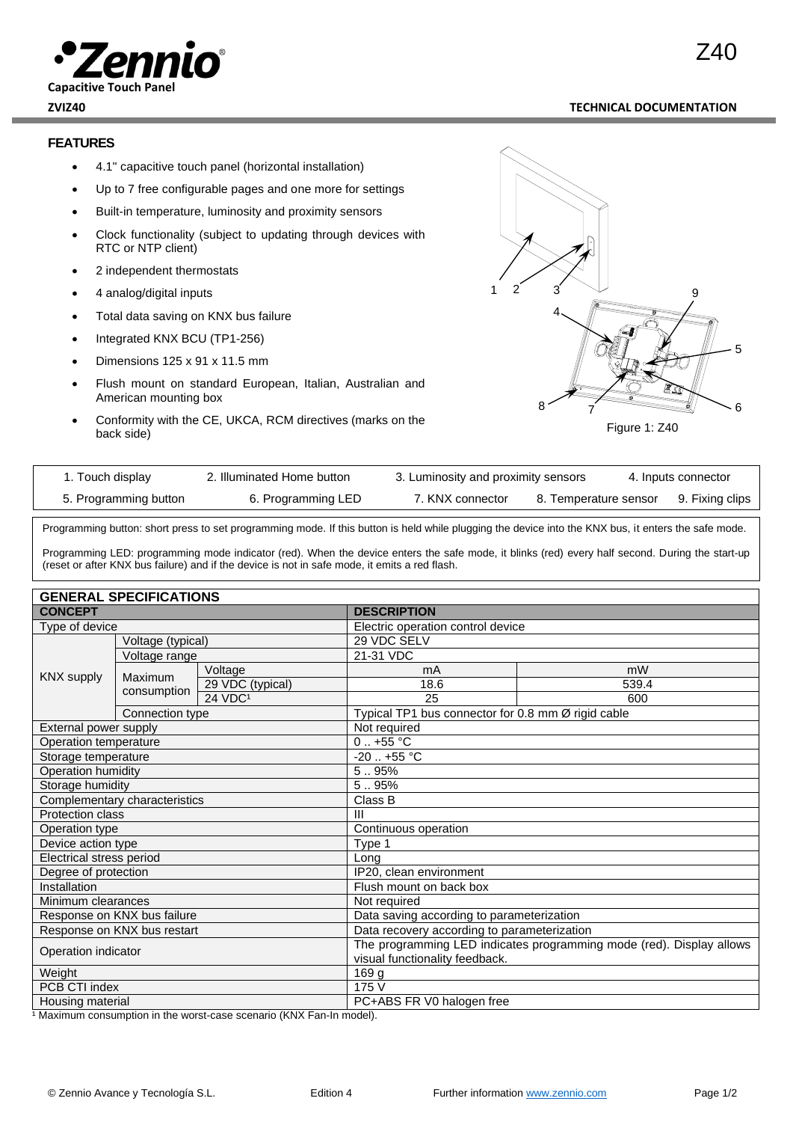

### **ZVIZ40 TECHNICAL DOCUMENTATION**

Z40

## **FEATURES**

- 4.1'' capacitive touch panel (horizontal installation)
- Up to 7 free configurable pages and one more for settings
- Built-in temperature, luminosity and proximity sensors
- Clock functionality (subject to updating through devices with RTC or NTP client)
- 2 independent thermostats
- 4 analog/digital inputs
- Total data saving on KNX bus failure
- Integrated KNX BCU (TP1-256)
- Dimensions 125 x 91 x 11.5 mm
- Flush mount on standard European, Italian, Australian and American mounting box
- Conformity with the CE, UKCA, RCM directives (marks on the back side)



| 1. Touch display      | 2. Illuminated Home button | 3. Luminosity and proximity sensors |                       | 4. Inputs connector |
|-----------------------|----------------------------|-------------------------------------|-----------------------|---------------------|
| 5. Programming button | 6. Programming LED         | 7. KNX connector                    | 8. Temperature sensor | 9. Fixing clips     |

Programming button: short press to set programming mode. If this button is held while plugging the device into the KNX bus, it enters the safe mode.

Programming LED: programming mode indicator (red). When the device enters the safe mode, it blinks (red) every half second. During the start-up (reset or after KNX bus failure) and if the device is not in safe mode, it emits a red flash.

| <b>GENERAL SPECIFICATIONS</b> |                   |                                                                      |                                                    |       |
|-------------------------------|-------------------|----------------------------------------------------------------------|----------------------------------------------------|-------|
| <b>CONCEPT</b>                |                   | <b>DESCRIPTION</b>                                                   |                                                    |       |
| Type of device                |                   | Electric operation control device                                    |                                                    |       |
|                               | Voltage (typical) |                                                                      | 29 VDC SELV                                        |       |
| Voltage range                 |                   |                                                                      | 21-31 VDC                                          |       |
| <b>KNX supply</b>             | Maximum           | Voltage                                                              | mA                                                 | mW    |
|                               |                   | 29 VDC (typical)                                                     | 18.6                                               | 539.4 |
|                               | consumption       | 24 VDC <sup>1</sup>                                                  | 25                                                 | 600   |
|                               | Connection type   |                                                                      | Typical TP1 bus connector for 0.8 mm Ø rigid cable |       |
| External power supply         |                   | Not required                                                         |                                                    |       |
| Operation temperature         |                   | $0.1 + 55$ °C                                                        |                                                    |       |
| Storage temperature           |                   | $-20$ $+55$ °C                                                       |                                                    |       |
| Operation humidity            |                   | 5.95%                                                                |                                                    |       |
| Storage humidity              |                   | 5.95%                                                                |                                                    |       |
| Complementary characteristics |                   | Class B                                                              |                                                    |       |
| Protection class              |                   | III                                                                  |                                                    |       |
| Operation type                |                   | Continuous operation                                                 |                                                    |       |
| Device action type            |                   | Type 1                                                               |                                                    |       |
| Electrical stress period      |                   | Long                                                                 |                                                    |       |
| Degree of protection          |                   | IP20, clean environment                                              |                                                    |       |
| Installation                  |                   | Flush mount on back box                                              |                                                    |       |
| Minimum clearances            |                   | Not required                                                         |                                                    |       |
| Response on KNX bus failure   |                   | Data saving according to parameterization                            |                                                    |       |
| Response on KNX bus restart   |                   | Data recovery according to parameterization                          |                                                    |       |
| Operation indicator           |                   | The programming LED indicates programming mode (red). Display allows |                                                    |       |
|                               |                   | visual functionality feedback.                                       |                                                    |       |
| Weight                        |                   | 169 g                                                                |                                                    |       |
| PCB CTI index                 |                   | 175 V                                                                |                                                    |       |
| Housing material              |                   | PC+ABS FR V0 halogen free                                            |                                                    |       |

<sup>1</sup> Maximum consumption in the worst-case scenario (KNX Fan-In model).